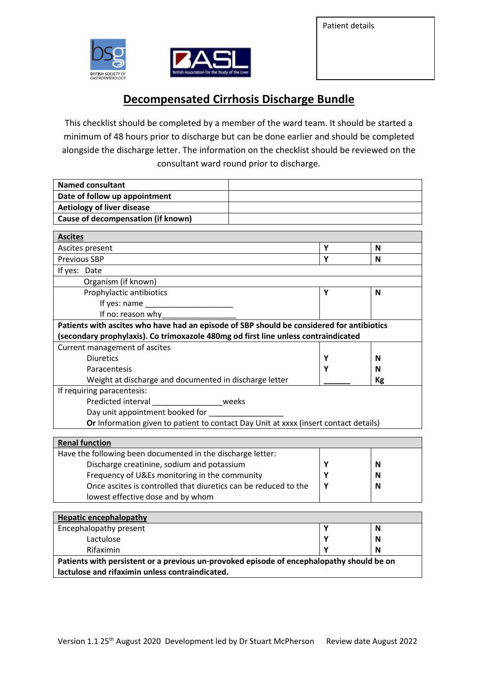Patient details





## **Decompensated Cirrhosis Discharge Bundle**

This checklist should be completed by a member of the ward team. It should be started a minimum of 48 hours prior to discharge but can be done earlier and should be completed alongside the discharge letter. The information on the checklist should be reviewed on the consultant ward round prior to discharge.

| <b>Named consultant</b>                                                                                          |   |           |
|------------------------------------------------------------------------------------------------------------------|---|-----------|
| Date of follow up appointment                                                                                    |   |           |
| <b>Aetiology of liver disease</b>                                                                                |   |           |
| <b>Cause of decompensation (if known)</b>                                                                        |   |           |
| <b>Ascites</b>                                                                                                   |   |           |
| Ascites present                                                                                                  | Υ | N         |
| <b>Previous SBP</b>                                                                                              | Y | N         |
| If yes: Date                                                                                                     |   |           |
| Organism (if known)                                                                                              |   |           |
| Prophylactic antibiotics                                                                                         | Υ | N         |
| If yes: name                                                                                                     |   |           |
| If no: reason why                                                                                                |   |           |
| Patients with ascites who have had an episode of SBP should be considered for antibiotics                        |   |           |
| (secondary prophylaxis). Co trimoxazole 480mg od first line unless contraindicated                               |   |           |
| Current management of ascites                                                                                    |   |           |
| <b>Diuretics</b>                                                                                                 | Y | N         |
| Paracentesis                                                                                                     | Υ | N         |
| Weight at discharge and documented in discharge letter                                                           |   | <b>Kg</b> |
| If requiring paracentesis:                                                                                       |   |           |
| Predicted interval<br>___________________________weeks                                                           |   |           |
| Day unit appointment booked for _                                                                                |   |           |
| Or Information given to patient to contact Day Unit at xxxx (insert contact details)                             |   |           |
|                                                                                                                  |   |           |
| <b>Renal function</b>                                                                                            |   |           |
| Have the following been documented in the discharge letter:                                                      |   |           |
| Discharge creatinine, sodium and potassium                                                                       | Υ | N         |
| Frequency of U&Es monitoring in the community<br>Once ascites is controlled that diuretics can be reduced to the | Y | N         |
|                                                                                                                  | Υ | N         |
| lowest effective dose and by whom                                                                                |   |           |
| <b>Hepatic encephalopathy</b>                                                                                    |   |           |
| Encephalopathy present                                                                                           | Υ | N         |
| Lactulose                                                                                                        | Y | N         |
| Rifaximin                                                                                                        | γ | N         |
| Patients with persistent or a previous un-provoked episode of encephalopathy should be on                        |   |           |
| lactulose and rifaximin unless contraindicated.                                                                  |   |           |